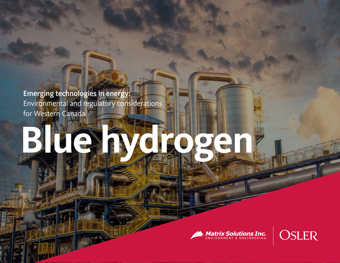Emerging technologies in energy: Environmental and regulatory considerations for Western Canada

# **Blue hydrogen**



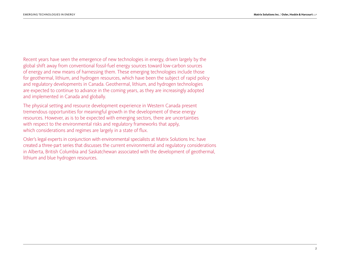Recent years have seen the emergence of new technologies in energy, driven largely by the global shift away from conventional fossil-fuel energy sources toward low-carbon sources of energy and new means of harnessing them. These emerging technologies include those for geothermal, lithium, and hydrogen resources, which have been the subject of rapid policy and regulatory developments in Canada. Geothermal, lithium, and hydrogen technologies are expected to continue to advance in the coming years, as they are increasingly adopted and implemented in Canada and globally.

The physical setting and resource development experience in Western Canada present tremendous opportunities for meaningful growth in the development of these energy resources. However, as is to be expected with emerging sectors, there are uncertainties with respect to the environmental risks and regulatory frameworks that apply, which considerations and regimes are largely in a state of flux.

Osler's legal experts in conjunction with environmental specialists at Matrix Solutions Inc. have created a three-part series that discusses the current environmental and regulatory considerations in Alberta, British Columbia and Saskatchewan associated with the development of geothermal, lithium and blue hydrogen resources.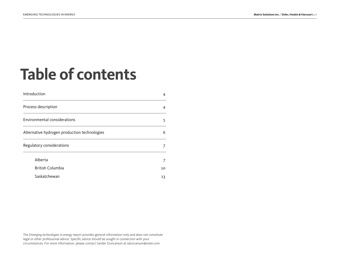# **Table of contents**

| Introduction                                 | 4  |
|----------------------------------------------|----|
| Process description                          | 4  |
| Environmental considerations                 | 5  |
| Alternative hydrogen production technologies | 6  |
| Regulatory considerations                    | 7  |
| Alberta                                      | 7  |
| <b>British Columbia</b>                      | 10 |
| Saskatchewan                                 | 13 |

The *Emerging technologies in energy* report provides general information only and does not constitute legal or other professional advice. Specific advice should be sought in connection with your circumstances. For more information, please contact Sander Duncanson at [sduncanson@osler.com.](mailto:sduncanson%40osler.com?subject=)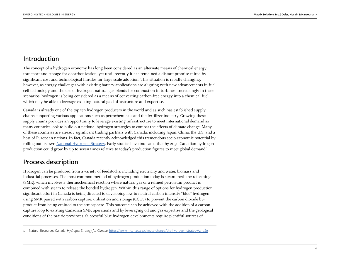# <span id="page-3-0"></span>Introduction

The concept of a hydrogen economy has long been considered as an alternate means of chemical energy transport and storage for decarbonization, yet until recently it has remained a distant promise mired by significant cost and technological hurdles for large scale adoption. This situation is rapidly changing, however, as energy challenges with existing battery applications are aligning with new advancements in fuel cell technology and the use of hydrogen-natural gas blends for combustion in turbines. Increasingly in these scenarios, hydrogen is being considered as a means of converting carbon-free energy into a chemical fuel which may be able to leverage existing natural gas infrastructure and expertise.

Canada is already one of the top ten hydrogen producers in the world and as such has established supply chains supporting various applications such as petrochemicals and the fertilizer industry. Growing these supply chains provides an opportunity to leverage existing infrastructure to meet international demand as many countries look to build out national hydrogen strategies to combat the effects of climate change. Many of these countries are already significant trading partners with Canada, including Japan, China, the U.S. and a host of European nations. In fact, Canada recently acknowledged this tremendous socio-economic potential by rolling out its own [National Hydrogen Strategy](https://www.osler.com/en/resources/regulations/2020/federal-government-announces-canada-s-hydrogen-strategy). Early studies have indicated that by 2050 Canadian hydrogen production could grow by up to seven times relative to today's production figures to meet global demand.1

# Process description

Hydrogen can be produced from a variety of feedstocks, including electricity and water, biomass and industrial processes. The most common method of hydrogen production today is steam methane reforming (SMR), which involves a thermochemical reaction where natural gas or a refined petroleum product is combined with steam to release the bonded hydrogen. Within this range of options for hydrogen production, significant effort in Canada is being directed to developing low-to-neutral carbon intensity "blue" hydrogen using SMR paired with carbon capture, utilization and storage (CCUS) to prevent the carbon dioxide byproduct from being emitted to the atmosphere. This outcome can be achieved with the addition of a carbon capture loop to existing Canadian SMR operations and by leveraging oil and gas expertise and the geological conditions of the prairie provinces. Successful blue hydrogen developments require plentiful sources of

<sup>1</sup> Natural Resources Canada, *Hydrogen Strategy for Canada*,<https://www.nrcan.gc.ca/climate-change/the-hydrogen-strategy/23080>.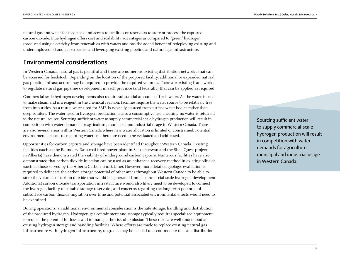<span id="page-4-0"></span>natural gas and water for feedstock and access to facilities or reservoirs to store or process the captured carbon dioxide. Blue hydrogen offers cost and scalability advantages as compared to "green" hydrogen (produced using electricity from renewables with water) and has the added benefit of redeploying existing and underemployed oil and gas expertise and leveraging existing pipeline and natural gas infrastructure.

## Environmental considerations

In Western Canada, natural gas is plentiful and there are numerous existing distribution networks that can be accessed for feedstock. Depending on the location of the proposed facility, additional or expanded natural gas pipeline infrastructure may be required to provide the required volumes. There are existing frameworks to regulate natural gas pipeline development in each province (and federally) that can be applied as required.

Commercial-scale hydrogen developments also require substantial amounts of fresh water. As the water is used to make steam and is a reagent in the chemical reaction, facilities require the water source to be relatively free from impurities. As a result, water used for SMR is typically sourced from surface water bodies rather than deep aquifers. The water used in hydrogen production is also a consumptive use, meaning no water is returned to the natural source. Sourcing sufficient water to supply commercial-scale hydrogen production will result in competition with water demands for agriculture, municipal and industrial usage in Western Canada. There are also several areas within Western Canada where new water allocation is limited or constrained. Potential environmental concerns regarding water use therefore need to be evaluated and addressed.

Opportunities for carbon capture and storage have been identified throughout Western Canada. Existing facilities (such as the Boundary Dam coal-fired power plant in Saskatchewan and the Shell Quest project in Alberta) have demonstrated the viability of underground carbon capture. Numerous facilities have also demonstrated that carbon dioxide injection can be used as an enhanced recovery method in existing oilfields (such as those served by the Alberta Carbon Trunk Line). However, more detailed geologic evaluation is required to delineate the carbon storage potential of other areas throughout Western Canada to be able to store the volumes of carbon dioxide that would be generated from a commercial-scale hydrogen development. Additional carbon dioxide transportation infrastructure would also likely need to be developed to connect the hydrogen facility to suitable storage reservoirs, and concerns regarding the long-term potential of subsurface carbon dioxide migration over time and potential associated environmental effects would need to be examined.

During operations, an additional environmental consideration is the safe storage, handling and distribution of the produced hydrogen. Hydrogen gas containment and storage typically requires specialized equipment to reduce the potential for losses and to manage the risk of explosion. These risks are well understood at existing hydrogen storage and handling facilities. Where efforts are made to replace existing natural gas infrastructure with hydrogen infrastructure, upgrades may be needed to accommodate the safe distribution

Sourcing sufficient water to supply commercial-scale hydrogen production will result in competition with water demands for agriculture, municipal and industrial usage in Western Canada.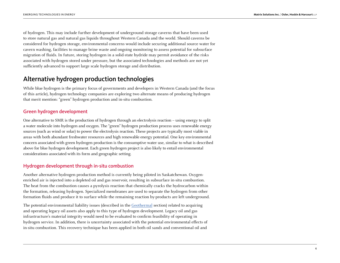<span id="page-5-0"></span>of hydrogen. This may include further development of underground storage caverns that have been used to store natural gas and natural gas liquids throughout Western Canada and the world. Should caverns be considered for hydrogen storage, environmental concerns would include securing additional source water for cavern washing, facilities to manage brine waste and ongoing monitoring to assess potential for subsurface migration of fluids. In future, storing hydrogen in a solid-state hydride may permit avoidance of the risks associated with hydrogen stored under pressure, but the associated technologies and methods are not yet sufficiently advanced to support large scale hydrogen storage and distribution.

# Alternative hydrogen production technologies

While blue hydrogen is the primary focus of governments and developers in Western Canada (and the focus of this article), hydrogen technology companies are exploring two alternate means of producing hydrogen that merit mention: "green" hydrogen production and in-situ combustion.

#### Green hydrogen development

One alternative to SMR is the production of hydrogen through an electrolysis reaction – using energy to split a water molecule into hydrogen and oxygen. The "green" hydrogen production process uses renewable energy sources (such as wind or solar) to power the electrolysis reaction. These projects are typically most viable in areas with both abundant freshwater resources and high renewable energy potential. One key environmental concern associated with green hydrogen production is the consumptive water use, similar to what is described above for blue hydrogen development. Each green hydrogen project is also likely to entail environmental considerations associated with its form and geographic setting.

### Hydrogen development through in-situ combustion

Another alternative hydrogen production method is currently being piloted in Saskatchewan. Oxygenenriched air is injected into a depleted oil and gas reservoir, resulting in subsurface in-situ combustion. The heat from the combustion causes a pyrolysis reaction that chemically cracks the hydrocarbon within the formation, releasing hydrogen. Specialized membranes are used to separate the hydrogen from other formation fluids and produce it to surface while the remaining reaction by-products are left underground.

The potential environmental liability issues (described in the [Geothermal](https://www.osler.com/osler/media/Osler/infographics/Osler_Emerging-technologies-in-energy_Geothermal.pdf) section) related to acquiring and operating legacy oil assets also apply to this type of hydrogen development. Legacy oil and gas infrastructure's material integrity would need to be evaluated to confirm feasibility of operating in hydrogen service. In addition, there is uncertainty associated with the potential environmental effects of in-situ combustion. This recovery technique has been applied in both oil sands and conventional oil and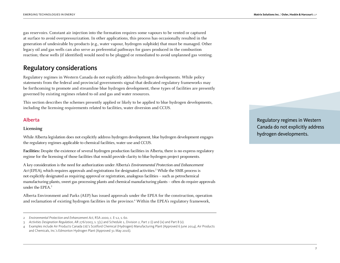<span id="page-6-0"></span>gas reservoirs. Constant air injection into the formation requires some vapours to be vented or captured at surface to avoid overpressurization. In other applications, this process has occasionally resulted in the generation of undesirable by-products (e.g., water vapour, hydrogen sulphide) that must be managed. Other legacy oil and gas wells can also serve as preferential pathways for gases produced in the combustion reaction; these wells (if identified) would need to be plugged or remediated to avoid unplanned gas venting.

# Regulatory considerations

Regulatory regimes in Western Canada do not explicitly address hydrogen developments. While policy statements from the federal and provincial governments signal that dedicated regulatory frameworks may be forthcoming to promote and streamline blue hydrogen development, these types of facilities are presently governed by existing regimes related to oil and gas and water resources.

This section describes the schemes presently applied or likely to be applied to blue hydrogen developments, including the licensing requirements related to facilities, water diversion and CCUS.

#### Alberta

#### **Licensing**

While Alberta legislation does not explicitly address hydrogen development, blue hydrogen development engages the regulatory regimes applicable to chemical facilities, water use and CCUS.

**Facilities:** Despite the existence of several hydrogen production facilities in Alberta, there is no express regulatory regime for the licensing of those facilities that would provide clarity to blue hydrogen project proponents.

A key consideration is the need for authorization under Alberta's Environmental Protection and Enhancement Act (EPEA), which requires approvals and registrations for designated activities.<sup>2</sup> While the SMR process is not explicitly designated as requiring approval or registration, analogous facilities – such as petrochemical manufacturing plants, sweet gas processing plants and chemical manufacturing plants – often do require approvals under the EPEA.3

Alberta Environment and Parks (AEP) has issued approvals under the EPEA for the construction, operation and reclamation of existing hydrogen facilities in the province.<sup>4</sup> Within the EPEA's regulatory framework,

Regulatory regimes in Western Canada do not explicitly address hydrogen developments.

<sup>2</sup> *Environmental Protection and Enhancement Act,* RSA 2000, c. E-12, s. 60.

<sup>3</sup> *Activities Designation Regulation,* AR 276/2003, s. 5(1) and Schedule 1, Division 2, Part 2 (i) and (ix) and Part 8 (v).

<sup>4</sup> Examples include Air Products Canada Ltd.'s Scotford Chemical (Hydrogen) Manufacturing Plant (Approved 6 June 2014), Air Products and Chemicals, Inc.'s Edmonton Hydrogen Plant (Approved 31 May 2016).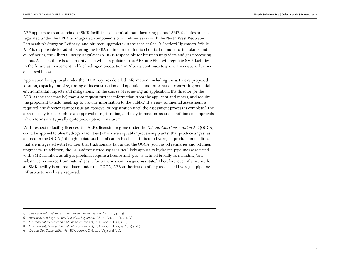AEP appears to treat standalone SMR facilities as "chemical manufacturing plants." SMR facilities are also regulated under the EPEA as integrated components of oil refineries (as with the North West Redwater Partnership's Sturgeon Refinery) and bitumen upgraders (in the case of Shell's Scotford Upgrader). While AEP is responsible for administering the EPEA regime in relation to chemical manufacturing plants and oil refineries, the Alberta Energy Regulator (AER) is responsible for bitumen upgraders and gas processing plants. As such, there is uncertainty as to which regulator – the AER or AEP – will regulate SMR facilities in the future as investment in blue hydrogen production in Alberta continues to grow. This issue is further discussed below.

Application for approval under the EPEA requires detailed information, including the activity's proposed location, capacity and size, timing of its construction and operation, and information concerning potential environmental impacts and mitigations.<sup>5</sup> In the course of reviewing an application, the director (or the AER, as the case may be) may also request further information from the applicant and others, and require the proponent to hold meetings to provide information to the public.<sup>6</sup> If an environmental assessment is required, the director cannot issue an approval or registration until the assessment process is complete.<sup>7</sup> The director may issue or refuse an approval or registration, and may impose terms and conditions on approvals, which terms are typically quite prescriptive in nature.<sup>8</sup>

With respect to facility licences, the AER's licensing regime under the Oil and Gas Conservation Act (OGCA) could be applied to blue hydrogen facilities (which are arguably "processing plants" that produce a "gas" as defined in the OGCA),<sup>9</sup> though to date such application has been limited to hydrogen production facilities that are integrated with facilities that traditionally fall under the OGCA (such as oil refineries and bitumen upgraders). In addition, the AER-administered *Pipeline Act* likely applies to hydrogen pipelines associated with SMR facilities, as all gas pipelines require a licence and "gas" is defined broadly as including "any substance recovered from natural gas … for transmission in a gaseous state." Therefore, even if a licence for an SMR facility is not mandated under the OGCA, AER authorization of any associated hydrogen pipeline infrastructure is likely required.

<sup>5</sup> See *Approvals and Registrations Procedure Regulation,* AR 113/93, s. 3(1).

<sup>6</sup> *Approvals and Registrations Procedure Regulation,* AR 113/93, ss. 5(1) and (2).

<sup>7</sup> *Environmental Protection and Enhancement Act,* RSA 2000, c. E-12, s. 63.

<sup>8</sup> *Environmental Protection and Enhancement Act,* RSA 2000, c. E-12, ss. 68(1) and (2)

<sup>9</sup> *Oil and Gas Conservation Act*, RSA 2000, c.O-6, ss. 1(1)(y) and (pp).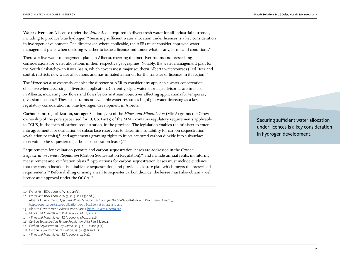**Water diversion:** A licence under the Water Act is required to divert fresh water for all industrial purposes, including to produce blue hydrogen.10 Securing sufficient water allocation under licences is a key consideration in hydrogen development. The director (or, where applicable, the AER) must consider approved water management plans when deciding whether to issue a licence and under what, if any, terms and conditions.<sup>11</sup>

There are five water management plans in Alberta, covering distinct river basins and prescribing considerations for water allocations in their respective geographies. Notably, the water management plan for the South Saskatchewan River Basin, which covers most major southern Alberta watercourses (Red Deer and south), restricts new water allocations and has initiated a market for the transfer of licences in its region.<sup>12</sup>

The Water Act also expressly enables the director or AER to consider any applicable water conservation objective when assessing a diversion application. Currently, eight water shortage advisories are in place in Alberta, indicating low flows and flows below instream objectives affecting applications for temporary diversion licences.13 These constraints on available water resources highlight water licensing as a key regulatory consideration in blue hydrogen development in Alberta.

**Carbon capture, utilization, storage:** Section 57(5) of the Mines and Minerals Act (MMA) grants the Crown ownership of the pore space used for CCUS. Part 9 of the MMA contains regulatory requirements applicable to CCUS, in the form of carbon sequestration, in the province. The legislation enables the minister to enter into agreements for evaluation of subsurface reservoirs to determine suitability for carbon sequestration  $(evaluation$  permits), $14$  and agreements granting rights to inject captured carbon dioxide into subsurface reservoirs to be sequestered (carbon sequestration leases).15

Requirements for evaluation permits and carbon sequestration leases are addressed in the Carbon Sequestration Tenure Regulation (Carbon Sequestration Regulation),<sup>16</sup> and include annual rents, monitoring, measurement and verification plans.17 Applications for carbon sequestration leases must include evidence that the chosen location is suitable for sequestration, and provide a closure plan which meets the prescribed requirements.18 Before drilling or using a well to sequester carbon dioxide, the lessee must also obtain a well licence and approval under the OGCA.19

- 13 Alberta Government, *Alberta River Basins*, https://rivers.alberta.ca/.
- 14 *Mines and Minerals Act*, RSA 2000, c. M-17, s. 115.
- 15 *Mines and Minerals Act*, RSA 2000, c. M-17, s. 116.
- 16 *Carbon Sequestration Tenure Regulation*, Alta Reg 68/2011.

- 18 *Carbon Sequestration Regulation,* ss. 9 (2)(d) and (f).
- 19 *Mines and Minerals Act*, RSA 2000, s. 116(2).

Securing sufficient water allocation under licences is a key consideration in hydrogen development.

<sup>10</sup> *Water Act,* RSA 2000, c. W-3, s. 49(1).

<sup>11</sup> *Water Act,* RSA 2000, c. W-3, ss. 51(1), (3) and (4).

<sup>12</sup> Alberta Environment, *Approved Water Management Plan for the South Saskatchewan River Basin (Alberta),* https://open.alberta.ca/publications/0778546209 at ss. 2.1 and 2.7.

<sup>17</sup> *Carbon Sequestration Regulation*, ss. 3(2), 6, 7 and 9 (2).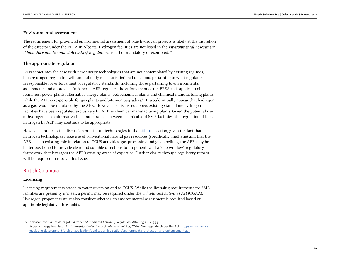#### <span id="page-9-0"></span>**Environmental assessment**

The requirement for provincial environmental assessment of blue hydrogen projects is likely at the discretion of the director under the EPEA in Alberta. Hydrogen facilities are not listed in the Environmental Assessment (Mandatory and Exempted Activities) Regulation, as either mandatory or exempted.<sup>20</sup>

#### **The appropriate regulator**

As is sometimes the case with new energy technologies that are not contemplated by existing regimes, blue hydrogen regulation will undoubtedly raise jurisdictional questions pertaining to what regulator is responsible for enforcement of regulatory standards, including those pertaining to environmental assessments and approvals. In Alberta, AEP regulates the enforcement of the EPEA as it applies to oil refineries, power plants, alternative energy plants, petrochemical plants and chemical manufacturing plants, while the AER is responsible for gas plants and bitumen upgraders.<sup>21</sup> It would initially appear that hydrogen, as a gas, would be regulated by the AER. However, as discussed above, existing standalone hydrogen facilities have been regulated exclusively by AEP as chemical manufacturing plants. Given the potential use of hydrogen as an alternative fuel and parallels between chemical and SMR facilities, the regulation of blue hydrogen by AEP may continue to be appropriate.

However, similar to the discussion on lithium technologies in the [Lithium](https://www.osler.com/osler/media/Osler/infographics/Osler_Emerging-technologies-in-energy_Lithium.pdf) section, given the fact that hydrogen technologies make use of conventional natural gas resources (specifically, methane) and that the AER has an existing role in relation to CCUS activities, gas processing and gas pipelines, the AER may be better positioned to provide clear and suitable directions to proponents and a "one-window" regulatory framework that leverages the AER's existing areas of expertise. Further clarity through regulatory reform will be required to resolve this issue.

#### British Columbia

#### **Licensing**

Licensing requirements attach to water diversion and to CCUS. While the licensing requirements for SMR facilities are presently unclear, a permit may be required under the Oil and Gas Activities Act (OGAA). Hydrogen proponents must also consider whether an environmental assessment is required based on applicable legislative thresholds.

<sup>20</sup> *Environmental Assessment (Mandatory and Exempted Activities) Regulation*, Alta Reg 111/1993.

<sup>21</sup> Alberta Energy Regulator, *Environmental Protection and Enhancement Act,* "What We Regulate Under the Act," [https://www.aer.ca/](https://www.aer.ca/regulating-development/project-application/application-legislation/environmental-protection-and-enhancement-act) [regulating-development/project-application/application-legislation/environmental-protection-and-enhancement-act.](https://www.aer.ca/regulating-development/project-application/application-legislation/environmental-protection-and-enhancement-act)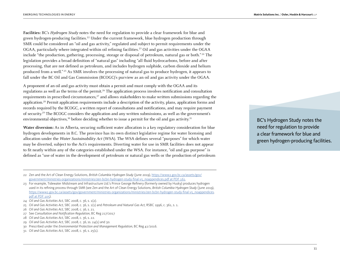**Facilities:** BC's Hydrogen Study notes the need for regulation to provide a clear framework for blue and green hydrogen-producing facilities.<sup>22</sup> Under the current framework, blue hydrogen production through SMR could be considered an "oil and gas activity," regulated and subject to permit requirements under the OGAA, particularly where integrated within oil refining facilities.23 Oil and gas activities under the OGAA include "the production, gathering, processing, storage or disposal of petroleum, natural gas or both." 24 The legislation provides a broad definition of "natural gas" including "all fluid hydrocarbons, before and after processing, that are not defined as petroleum, and includes hydrogen sulphide, carbon dioxide and helium produced from a well." 25 As SMR involves the processing of natural gas to produce hydrogen, it appears to fall under the BC Oil and Gas Commission (BCOGC)'s purview as an oil and gas activity under the OGAA.

A proponent of an oil and gas activity must obtain a permit and must comply with the OGAA and its regulations as well as the terms of the permit.26 The application process involves notification and consultation requirements in prescribed circumstances, $27$  and allows stakeholders to make written submissions regarding the application.28 Permit application requirements include a description of the activity, plans, application forms and records required by the BCOGC, a written report of consultations and notifications, and may require payment of security.29 The BCOGC considers the application and any written submissions, as well as the government's environmental objectives, $30$  before deciding whether to issue a permit for the oil and gas activity. $31$ 

**Water diversion:** As in Alberta, securing sufficient water allocation is a key regulatory consideration for blue hydrogen developments in B.C. The province has its own distinct legislative regime for water licensing and allocation under the Water Sustainability Act (WSA). The WSA defines several "purposes" for which water may be diverted, subject to the Act's requirements. Diverting water for use in SMR facilities does not appear to fit neatly within any of the categories established under the WSA. For instance, "oil and gas purpose" is defined as "use of water in the development of petroleum or natural gas wells or the production of petroleum

BC's Hydrogen Study notes the need for regulation to provide a clear framework for blue and green hydrogen-producing facilities.

<sup>22</sup> Zen and the Art of Clean Energy Solutions, *British Columbia Hydrogen Study* (June 2019), [https://www2.gov.bc.ca/assets/gov/](https://www2.gov.bc.ca/assets/gov/government/ministries-organizations/ministries/zen-bcbn-hydrogen-study-final-v5_noappendices.pdf%20at%20PDF%20161.) [government/ministries-organizations/ministries/zen-bcbn-hydrogen-study-final-v5\\_noappendices.pdf at PDF 161.](https://www2.gov.bc.ca/assets/gov/government/ministries-organizations/ministries/zen-bcbn-hydrogen-study-final-v5_noappendices.pdf%20at%20PDF%20161.)

<sup>23</sup> For example, Tidewater Midstream and Infrastructure Ltd.'s Prince George Refinery (formerly owned by Husky) produces hydrogen used in its refining process through SMR (see Zen and the Art of Clean Energy Solutions, *British Columbia Hydrogen Study* (June 2019), [https://www2.gov.bc.ca/assets/gov/government/ministries-organizations/ministries/zen-bcbn-hydrogen-study-final-v5\\_noappendices.](https://www2.gov.bc.ca/assets/gov/government/ministries-organizations/ministries/zen-bcbn-hydrogen-study-final-v5_noappendices.pdf%20at%20PDF%20105) [pdf at PDF 105\)](https://www2.gov.bc.ca/assets/gov/government/ministries-organizations/ministries/zen-bcbn-hydrogen-study-final-v5_noappendices.pdf%20at%20PDF%20105).

<sup>24</sup> *Oil and Gas Activities Act,* SBC 2008, c. 36, s. 1(2).

<sup>25</sup> *Oil and Gas Activities Act,* SBC 2008, c. 36, s. 1(1) and *Petroleum and Natural Gas Act,* RSBC 1996, c. 361, s. 1.

<sup>26</sup> *Oil and Gas Activities Act,* SBC 2008, c. 36, s. 21.

<sup>27</sup> See *Consultation and Notification Regulation,* BC Reg 217/2017

<sup>28</sup> *Oil and Gas Activities Act,* SBC 2008, c. 36, s. 22.

<sup>29</sup> *Oil and Gas Activities Act,* SBC 2008, c. 36, ss. 24(1) and 30.

<sup>30</sup> Prescribed under the *Environmental Protection and Management Regulation*, BC Reg 41/2016.

<sup>31</sup> *Oil and Gas Activities Act,* SBC 2008, c. 36, s. 25(1).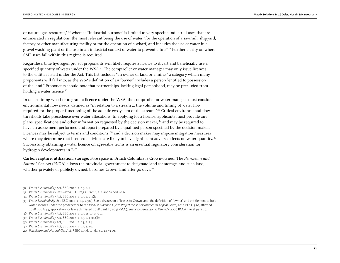or natural gas resources," 32 whereas "industrial purpose" is limited to very specific industrial uses that are enumerated in regulations, the most relevant being the use of water "for the operation of a sawmill, shipyard, factory or other manufacturing facility or for the operation of a wharf, and includes the use of water in a gravel washing plant or the use in an industrial context of water to prevent a fire."<sup>33</sup> Further clarity on where SMR uses fall within this regime is required.

Regardless, blue hydrogen project proponents will likely require a licence to divert and beneficially use a specified quantity of water under the WSA.<sup>34</sup> The comptroller or water manager may only issue licences to the entities listed under the Act. This list includes "an owner of land or a mine," a category which many proponents will fall into, as the WSA's definition of an "owner" includes a person "entitled to possession of the land." Proponents should note that partnerships, lacking legal personhood, may be precluded from holding a water licence.<sup>35</sup>

In determining whether to grant a licence under the WSA, the comptroller or water manager must consider environmental flow needs, defined as "in relation to a stream … the volume and timing of water flow required for the proper functioning of the aquatic ecosystem of the stream." <sup>36</sup> Critical environmental flow thresholds take precedence over water allocations. In applying for a licence, applicants must provide any plans, specifications and other information requested by the decision maker, 37 and may be required to have an assessment performed and report prepared by a qualified person specified by the decision maker. Licences may be subject to terms and conditions, 38 and a decision maker may impose mitigation measures where they determine that licensed activities are likely to have significant adverse effects on water quantity.<sup>39</sup> Successfully obtaining a water licence on agreeable terms is an essential regulatory consideration for hydrogen developments in B.C.

**Carbon capture, utilization, storage:** Pore space in British Columbia is Crown-owned. The Petroleum and Natural Gas Act (PNGA) allows the provincial government to designate land for storage, and such land, whether privately or publicly owned, becomes Crown land after 90 days.<sup>40</sup>

<sup>32</sup> *Water Sustainability Act*, SBC 2014, c. 15, s. 2.

<sup>33</sup> *Water Sustainability Regulation,* B.C. Reg 36/2016, s. 2 and Schedule A.

<sup>34</sup> *Water Sustainability Act*, SBC 2014, c. 15, s. 7(1)(a).

<sup>35</sup> *Water Sustainability Act*, SBC 2014, c. 15, s. 9(a). See a discussion of leases to Crown land, the definition of "owner" and entitlement to hold water licenses under the predecessor to the WSA in *Harrison Hydro Project Inc. v. Environmental Appeal Board,* 2017 BCSC 320, affirmed 2018 BCCA 44, application for leave dismissed 2018 CanLII 71038 (SCC). See also *Derrickson v. Kennedy*, 2006 BCCA 356 at para 10.

<sup>36</sup> *Water Sustainability Act*, SBC 2014, c. 15, ss. 15 and 1.

<sup>37</sup> *Water Sustainability Act*, SBC 2014, c. 15, s. 12(1)(b)

<sup>38</sup> *Water Sustainability Act*, SBC 2014, c. 15, s. 14.

<sup>39</sup> *Water Sustainability Act*, SBC 2014, c. 15, s. 16.

<sup>40</sup> *Petroleum and Natural Gas Act,* RSBC 1996, c. 361, ss. 127-129.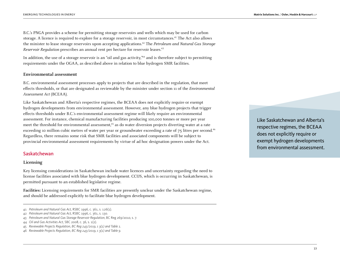<span id="page-12-0"></span>B.C.'s PNGA provides a scheme for permitting storage reservoirs and wells which may be used for carbon storage. A licence is required to explore for a storage reservoir, in most circumstances.<sup>41</sup> The Act also allows the minister to lease storage reservoirs upon accepting applications.<sup>42</sup> The Petroleum and Natural Gas Storage Reservoir Regulation prescribes an annual rent per hectare for reservoir leases.43

In addition, the use of a storage reservoir is an "oil and gas activity,"<sup>44</sup> and is therefore subject to permitting requirements under the OGAA, as described above in relation to blue hydrogen SMR facilities.

#### **Environmental assessment**

B.C. environmental assessment processes apply to projects that are described in the regulation, that meet effects thresholds, or that are designated as reviewable by the minister under section 11 of the Environmental Assessment Act (BCEAA).

Like Saskatchewan and Alberta's respective regimes, the BCEAA does not explicitly require or exempt hydrogen developments from environmental assessment. However, any blue hydrogen projects that trigger effects thresholds under B.C.'s environmental assessment regime will likely require an environmental assessment. For instance, chemical manufacturing facilities producing 100,000 tonnes or more per year meet the threshold for environmental assessment,<sup>45</sup> as do water diversion projects diverting water at a rate exceeding 10 million cubic metres of water per year or groundwater exceeding a rate of 75 litres per second.<sup>46</sup> Regardless, there remains some risk that SMR facilities and associated components will be subject to provincial environmental assessment requirements by virtue of ad hoc designation powers under the Act.

#### Saskatchewan

#### **Licensing**

Key licensing considerations in Saskatchewan include water licences and uncertainty regarding the need to license facilities associated with blue hydrogen development. CCUS, which is occurring in Saskatchewan, is permitted pursuant to an established legislative regime.

**Facilities:** Licensing requirements for SMR facilities are presently unclear under the Saskatchewan regime, and should be addressed explicitly to facilitate blue hydrogen development.

Like Saskatchewan and Alberta's respective regimes, the BCEAA does not explicitly require or exempt hydrogen developments from environmental assessment.

<sup>41</sup> *Petroleum and Natural Gas Act,* RSBC 1996, c. 361, s. 126(1).

<sup>42</sup> *Petroleum and Natural Gas Act,* RSBC 1996, c. 361, s. 130.

<sup>43</sup> *Petroleum and Natural Gas Storage Reservoir Regulation*, BC Reg 269/2010, s. 7.

<sup>44</sup> *Oil and Gas Activities Act,* SBC 2008, c. 36*,* s. 1(2).

<sup>45</sup> *Reviewable Projects Regulation, BC Reg 243/2019, s 3(1) and Table 1.*

<sup>46</sup> *Reviewable Projects Regulation, BC Reg 243/2019, s 3(1) and Table 9.*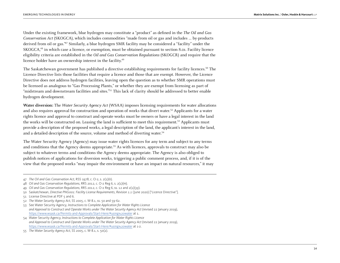Under the existing framework, blue hydrogen may constitute a "product" as defined in the The Oil and Gas Conservation Act (SKOGCA), which includes commodities "made from oil or gas and includes … by-products derived from oil or gas."47 Similarly, a blue hydrogen SMR facility may be considered a "facility" under the SKOGCA,48 in which case a licence, or exemption, must be obtained pursuant to section 8.01. Facility licence eligibility criteria are established in the Oil and Gas Conservation Regulations (SKOGCR) and require that the licence holder have an ownership interest in the facility.<sup>49</sup>

The Saskatchewan government has published a directive establishing requirements for facility licences.50 The Licence Directive lists those facilities that require a licence and those that are exempt. However, the Licence Directive does not address hydrogen facilities, leaving open the question as to whether SMR operations must be licensed as analogous to "Gas Processing Plants," or whether they are exempt from licensing as part of "midstream and downstream facilities and sites."51 This lack of clarity should be addressed to better enable hydrogen development.

**Water diversion:** The Water Security Agency Act (WSAA) imposes licensing requirements for water allocations and also requires approval for construction and operation of works that divert water.<sup>52</sup> Applicants for a water rights licence and approval to construct and operate works must be owners or have a legal interest in the land the works will be constructed on. Leasing the land is sufficient to meet this requirement.53 Applicants must provide a description of the proposed works, a legal description of the land, the applicant's interest in the land, and a detailed description of the source, volume and method of diverting water.<sup>54</sup>

The Water Security Agency (Agency) may issue water rights licences for any term and subject to any terms and conditions that the Agency deems appropriate.<sup>55</sup> As with licences, approvals to construct may also be subject to whatever terms and conditions the Agency deems appropriate. The Agency is also obliged to publish notices of applications for diversion works, triggering a public comment process, and, if it is of the view that the proposed works "may impair the environment or have an impact on natural resources," it may

<sup>47</sup> *The Oil and Gas Conservation Act,* RSS 1978, c. O-2, s. 2(1)(n).

<sup>48</sup> *Oil and Gas Conservation Regulations*, RRS 2012, c. O-2 Reg 6, s. 2(1)(m).

<sup>49</sup> *Oil and Gas Conservation Regulations*, RRS 2012, c. O-2 Reg 6, ss. 12 and 2(1)(yy).

<sup>50</sup> Saskatchewan, *Directive PNG001: Facility License Requirements, Revision 1.1* (June 2020) ["Licence Directive"].

<sup>51</sup> License Directive at PDF 5 and 6.

<sup>52</sup> *The Water Security Agency Act*, SS 2005, c. W-8.1, ss. 50 and 59-62.

<sup>53</sup> See Water Security Agency, *Instructions to Complete Application for Water Rights Licence and Approval to Construct and Operate Works under The Water Security Agency Act* (revised 22 January 2019), https://www.wsask.ca/Permits-and-Approvals/Start-Here/#using%20water at 1.

<sup>54</sup> Water Security Agency, *Instructions to Complete Application for Water Rights Licence and Approval to Construct and Operate Works under The Water Security Agency Act* (revised 22 January 2019), https://www.wsask.ca/Permits-and-Approvals/Start-Here/#using%20water at 1-2.

<sup>55</sup> *The Water Security Agency Act*, SS 2005, c. W-8.1, s. 50(2).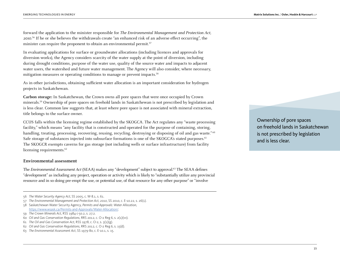forward the application to the minister responsible for The Environmental Management and Protection Act, 2010. 56 If he or she believes the withdrawals create "an enhanced risk of an adverse effect occurring", the minister can require the proponent to obtain an environmental permit.<sup>57</sup>

In evaluating applications for surface or groundwater allocations (including licences and approvals for diversion works), the Agency considers scarcity of the water supply at the point of diversion, including during drought conditions, purpose of the water use, quality of the source water and impacts to adjacent water users, the watershed and future water management. The Agency will also consider, where necessary, mitigation measures or operating conditions to manage or prevent impacts.58

As in other jurisdictions, obtaining sufficient water allocation is an important consideration for hydrogen projects in Saskatchewan.

**Carbon storage:** In Saskatchewan, the Crown owns all pore spaces that were once occupied by Crown minerals.59 Ownership of pore spaces on freehold lands in Saskatchewan is not prescribed by legislation and is less clear. Common law suggests that, at least where pore space is not associated with mineral extraction, title belongs to the surface owner.

CCUS falls within the licensing regime established by the SKOGCA. The Act regulates any "waste processing facility," which means "any facility that is constructed and operated for the purpose of containing, storing, handling, treating, processing, recovering, reusing, recycling, destroying or disposing of oil and gas waste."<sup>60</sup> Safe storage of substances injected into subsurface formations is one of the SKOGCA's stated purposes.<sup>61</sup> The SKOGCR exempts caverns for gas storage (not including wells or surface infrastructure) from facility licensing requirements.<sup>62</sup>

#### **Environmental assessment**

The Environmental Assessment Act (SEAA) makes any "development" subject to approval.<sup>63</sup> The SEAA defines "development" as including any project, operation or activity which is likely to "substantially utilize any provincial resource and in so doing pre-empt the use, or potential use, of that resource for any other purpose" or "involve

Ownership of pore spaces on freehold lands in Saskatchewan is not prescribed by legislation and is less clear.

<sup>56</sup> *The Water Security Agency Act*, SS 2005, c. W-8.1, s. 61.

<sup>57</sup> *The Environmental Management and Protection Act, 2010*, SS 2010, c. E-10.22, s. 26(1).

<sup>58</sup> Saskatchewan Water Security Agency, *Permits and Approvals: Water Allocation,* <https://www.wsask.ca/Permits-and-Approvals/Water-Allocation/>.

<sup>59</sup> *The Crown Minerals Act,* RSS 1984 c-50.2, s. 27.2.

<sup>60</sup> *Oil and Gas Conservation Regulations*, RRS 2012, c. O-2 Reg 6, s. 2(1)(vv).

<sup>61</sup> *The Oil and Gas Conservation Act,* RSS 1978, c. O-2, s. 3(1)(g).

<sup>62</sup> *Oil and Gas Conservation Regulations*, RRS 2012, c. O-2 Reg 6, s. 15(d).

<sup>63</sup> *The Environmental Assessment Act*, SS 1979-80, c. E-10.1, s. 15.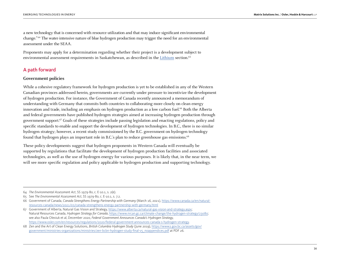a new technology that is concerned with resource utilization and that may induce significant environmental change." 64 The water-intensive nature of blue hydrogen production may trigger the need for an environmental assessment under the SEAA.

Proponents may apply for a determination regarding whether their project is a development subject to environmental assessment requirements in Saskatchewan, as described in the [Lithium](https://www.osler.com/osler/media/Osler/infographics/Osler_Emerging-technologies-in-energy_Lithium.pdf) section.<sup>65</sup>

#### A path forward

#### **Government policies**

While a cohesive regulatory framework for hydrogen production is yet to be established in any of the Western Canadian provinces addressed herein, governments are currently under pressure to incentivize the development of hydrogen production. For instance, the Government of Canada recently announced a memorandum of understanding with Germany that commits both countries to collaborating more closely on clean energy innovation and trade, including an emphasis on hydrogen production as a low carbon fuel.66 Both the Alberta and federal governments have published hydrogen strategies aimed at increasing hydrogen production through government support.67 Goals of these strategies include passing legislation and enacting regulations, policy and specific standards to enable and support the development of hydrogen technologies. In B.C., there is no similar hydrogen strategy; however, a recent study commissioned by the B.C. government on hydrogen technology found that hydrogen plays an important role in B.C.'s plan to reduce greenhouse gas emissions.<sup>68</sup>

These policy developments suggest that hydrogen proponents in Western Canada will eventually be supported by regulations that facilitate the development of hydrogen production facilities and associated technologies, as well as the use of hydrogen energy for various purposes. It is likely that, in the near term, we will see more specific regulation and policy applicable to hydrogen production and supporting technology.

<sup>64</sup> *The Environmental Assessment Act*, SS 1979-80, c. E-10.1, s. 2(e).

<sup>65</sup> See *The Environmental Assessment Act*, SS 1979-80, c. E-10.1, s. 7.2.

<sup>66</sup> Government of Canada, *Canada Strengthens Energy Partnership with Germany* (March 16, 2021), [https://www.canada.ca/en/natural](https://www.canada.ca/en/natural-resources-canada/news/2021/03/canada-strengthens-energy-partnership-with-germany.html)[resources-canada/news/2021/03/canada-strengthens-energy-partnership-with-germany.html](https://www.canada.ca/en/natural-resources-canada/news/2021/03/canada-strengthens-energy-partnership-with-germany.html)

<sup>67</sup> Government of Alberta, Natural Gas Vision and Strategy, [https://www.alberta.ca/natural-gas-vision-and-strategy.aspx;](https://www.alberta.ca/natural-gas-vision-and-strategy.aspx) Natural Resources Canada, *Hydrogen Strategy for Canada*,<https://www.nrcan.gc.ca/climate-change/the-hydrogen-strategy/23080>; see also Paula Olexiuk et al, December 2020, *Federal Government Announces Canada's Hydrogen Strategy,* <https://www.osler.com/en/resources/regulations/2020/federal-government-announces-canada-s-hydrogen-strategy>.

<sup>68</sup> Zen and the Art of Clean Energy Solutions, *British Columbia Hydrogen Study* (June 2019), [https://www2.gov.bc.ca/assets/gov/](https://www2.gov.bc.ca/assets/gov/government/ministries-organizations/ministries/zen-bcbn-hydrogen-study-final-v5_noappendices.pdf) [government/ministries-organizations/ministries/zen-bcbn-hydrogen-study-final-v5\\_noappendices.pdf](https://www2.gov.bc.ca/assets/gov/government/ministries-organizations/ministries/zen-bcbn-hydrogen-study-final-v5_noappendices.pdf) at PDF 26.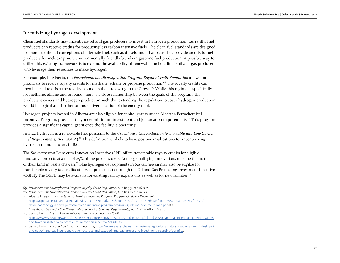#### **Incentivizing hydrogen development**

Clean fuel standards may incentivize oil and gas producers to invest in hydrogen production. Currently, fuel producers can receive credits for producing less carbon intensive fuels. The clean fuel standards are designed for more traditional conceptions of alternate fuel, such as diesels and ethanol, as they provide credits to fuel producers for including more environmentally friendly blends in gasoline fuel production. A possible way to utilize this existing framework is to expand the availability of renewable fuel credits to oil and gas producers who leverage their resources to make hydrogen.

For example, in Alberta, the Petrochemicals Diversification Program Royalty Credit Regulation allows for producers to receive royalty credits for methane, ethane or propane production.69 The royalty credits can then be used to offset the royalty payments that are owing to the Crown.70 While this regime is specifically for methane, ethane and propane, there is a close relationship between the goals of the program, the products it covers and hydrogen production such that extending the regulation to cover hydrogen production would be logical and further promote diversification of the energy market.

Hydrogen projects located in Alberta are also eligible for capital grants under Alberta's Petrochemical Incentive Program, provided they meet minimum investment and job-creation requirements.71 This program provides a significant capital grant once the facility is operating.

In B.C., hydrogen is a renewable fuel pursuant to the Greenhouse Gas Reduction (Renewable and Low Carbon Fuel Requirements) Act  $(GGRA)^{72}$  This definition is likely to have positive implications for incentivizing hydrogen manufacturers in B.C.

The Saskatchewan Petroleum Innovation Incentive (SPII) offers transferable royalty credits for eligible innovative projects at a rate of 25% of the project's costs. Notably, qualifying innovations must be the first of their kind in Saskatchewan.73 Blue hydrogen developments in Saskatchewan may also be eligible for transferable royalty tax credits at 15% of project costs through the Oil and Gas Processing Investment Incentive (OGPII). The OGPII may be available for existing facility expansions as well as for new facilities.74

69 *Petrochemicals Diversification Program Royalty Credit Regulation*, Alta Reg 54/2016, s. 2.

<sup>70</sup> *Petrochemicals Diversification Program Royalty Credit Regulation*, Alta Reg 54/2016, s. 6.

<sup>71</sup> Alberta Energy, *The Alberta Petrochemicals Incentive Program: Program Guideline Document,* [https://open.alberta.ca/dataset/ba855f49-bb70-470a-8d9e-6c850eec5c5a/resource/a765a45f-acbc-4952-bc9e-b276eafd2190/](https://open.alberta.ca/dataset/ba855f49-bb70-470a-8d9e-6c850eec5c5a/resource/a765a45f-acbc-4952-bc9e-b276eafd2190/download/energy-alberta-petrochemicals-incentive-program-program-guideline-document-2020.pdf) [download/energy-alberta-petrochemicals-incentive-program-program-guideline-document-2020.pdf](https://open.alberta.ca/dataset/ba855f49-bb70-470a-8d9e-6c850eec5c5a/resource/a765a45f-acbc-4952-bc9e-b276eafd2190/download/energy-alberta-petrochemicals-incentive-program-program-guideline-document-2020.pdf) at 5 -6.

<sup>72</sup> *Greenhouse Gas Reduction (Renewable and Low Carbon Fuel Requirements) Act,* SBC 2008, c. 16, s.1.

<sup>73</sup> Saskatchewan, *Saskatchewan Petroleum Innovation Incentive (SPII),* https://www.saskatchewan.ca/business/agriculture-natural-resources-and-industry/oil-and-gas/oil-and-gas-incentives-crown-royaltiesand-taxes/saskatchewan-petroleum-innovation-incentive#eligibility.

<sup>74</sup> Saskatchewan, *Oil and Gas Investment Incentive,* https://www.saskatchewan.ca/business/agriculture-natural-resources-and-industry/oiland-gas/oil-and-gas-incentives-crown-royalties-and-taxes/oil-and-gas-processing-investment-incentive#benefits.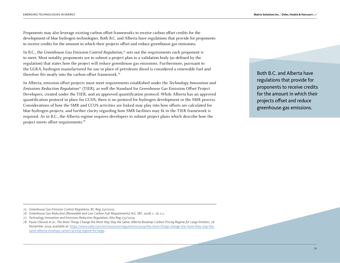Proponents may also leverage existing carbon offset frameworks to receive carbon offset credits for the development of blue hydrogen technologies. Both B.C. and Alberta have regulations that provide for proponents to receive credits for the amount in which their projects offset and reduce greenhouse gas emissions.

In B.C., the Greenhouse Gas Emission Control Regulation,<sup>75</sup> sets out the requirements each proponent is to meet. Most notably, proponents are to submit a project plan to a validation body (as defined by the regulation) that states how the project will reduce greenhouse gas emissions. Furthermore, pursuant to the GGRA, hydrogen manufactured for use in place of petroleum diesel is considered a renewable fuel and therefore fits neatly into the carbon offset framework.76

In Alberta, emission offset projects must meet requirements established under the Technology Innovation and Emissions Reduction Regulation77 (TIER), as well the Standard for Greenhouse Gas Emission Offset Project Developers, created under the TIER, and an approved quantification protocol. While Alberta has an approved quantification protocol in place for CCUS, there is no protocol for hydrogen development or the SMR process. Considerations of how the SMR and CCUS activities are linked may play into how offsets are calculated for blue hydrogen projects, and further clarity regarding how SMR facilities may fit in the TIER framework is required. As in B.C., the Alberta regime requires developers to submit project plans which describe how the project meets offset requirements.78

Both B.C. and Alberta have regulations that provide for proponents to receive credits for the amount in which their projects offset and reduce greenhouse gas emissions.

75 *Greenhouse Gas Emission Control Regulation*, BC Reg 250/2015.

78 Paula Olexiuk et al.*, The More Things Change the More they Stay the Same: Alberta Revamps Carbon Pricing Regime for Large Emitters,* 26 November 2019, available at: [https://www.osler.com/en/resources/regulations/2019/the-more-things-change-the-more-they-stay-the](https://www.osler.com/en/resources/regulations/2019/the-more-things-change-the-more-they-stay-the-same-alberta-revamps-carbon-pricing-regime-for-large)[same-alberta-revamps-carbon-pricing-regime-for-large](https://www.osler.com/en/resources/regulations/2019/the-more-things-change-the-more-they-stay-the-same-alberta-revamps-carbon-pricing-regime-for-large).

<sup>76</sup> *Greenhouse Gas Reduction (Renewable and Low Carbon Fuel Requirements) Act,* SBC 2008, c. 16, s.1.

<sup>77</sup> *Technology Innovation and Emissions Reduction Regulation*, Alta Reg 133/2019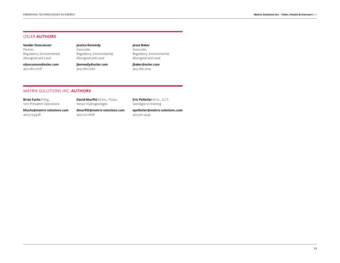#### OSLER **AUTHORS**

**Sander Duncanson** Partner, Regulatory, Environmental, Aboriginal and Land

**sduncanson@osler.com** 403.260.7078

**Jessica Kennedy**

Associate, Regulatory, Environmental, Aboriginal and Land

**jkennedy@osler.co[m](mailto:jcode%40osler.com%0A?subject=)** 403.260.7062

#### **Jesse Baker**

Associate, Regulatory, Environmental, Aboriginal and Land

**jbaker@osler.com** 403.260.7025

#### MATRIX SOLUTIONS INC. **AUTHORS**

| <b>Brian Fuchs</b> P.Eng.,  | David Murfitt M.Env., P.Geo., | <b>Eric Pelletier</b> M.Sc., G.I.T., |
|-----------------------------|-------------------------------|--------------------------------------|
| Vice President Operations   | Senior Hydrogeologist         | Geologist-in-training                |
| bfuchs@matrix-solutions.com | dmurfitt@matrix-solutions.com | epelletier@matrix-solutions.com      |
| 403.513.9428                | 403.727.0628                  | 403.910.4543                         |